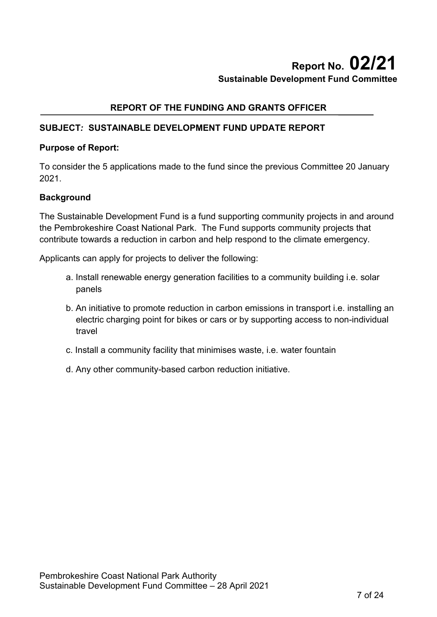# **Report No. 02/21 Sustainable Development Fund Committee**

# **REPORT OF THE FUNDING AND GRANTS OFFICER**

# **SUBJECT***:* **SUSTAINABLE DEVELOPMENT FUND UPDATE REPORT**

#### **Purpose of Report:**

To consider the 5 applications made to the fund since the previous Committee 20 January 2021.

## **Background**

The Sustainable Development Fund is a fund supporting community projects in and around the Pembrokeshire Coast National Park. The Fund supports community projects that contribute towards a reduction in carbon and help respond to the climate emergency.

Applicants can apply for projects to deliver the following:

- a. Install renewable energy generation facilities to a community building i.e. solar panels
- b. An initiative to promote reduction in carbon emissions in transport i.e. installing an electric charging point for bikes or cars or by supporting access to non-individual travel
- c. Install a community facility that minimises waste, i.e. water fountain
- d. Any other community-based carbon reduction initiative.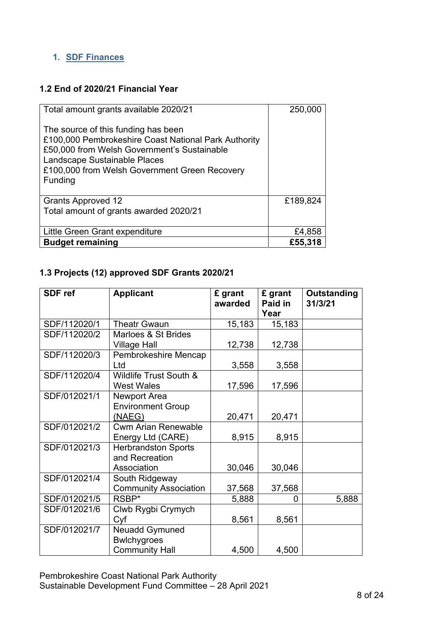# **1. SDF Finances**

## **1.2 End of 2020/21 Financial Year**

| Total amount grants available 2020/21                                                                                                                                                                                                  | 250,000  |
|----------------------------------------------------------------------------------------------------------------------------------------------------------------------------------------------------------------------------------------|----------|
| The source of this funding has been<br>£100,000 Pembrokeshire Coast National Park Authority<br>£50,000 from Welsh Government's Sustainable<br>Landscape Sustainable Places<br>£100,000 from Welsh Government Green Recovery<br>Funding |          |
| <b>Grants Approved 12</b>                                                                                                                                                                                                              | £189,824 |
| Total amount of grants awarded 2020/21                                                                                                                                                                                                 |          |
| Little Green Grant expenditure                                                                                                                                                                                                         | £4,858   |
| <b>Budget remaining</b>                                                                                                                                                                                                                | £55,318  |

# **1.3 Projects (12) approved SDF Grants 2020/21**

| <b>SDF</b> ref | <b>Applicant</b>             | £ grant<br>awarded | £ grant<br>Paid in | <b>Outstanding</b><br>31/3/21 |
|----------------|------------------------------|--------------------|--------------------|-------------------------------|
|                |                              |                    | Year               |                               |
| SDF/112020/1   | <b>Theatr Gwaun</b>          | 15,183             | 15,183             |                               |
| SDF/112020/2   | Marloes & St Brides          |                    |                    |                               |
|                | <b>Village Hall</b>          | 12,738             | 12,738             |                               |
| SDF/112020/3   | Pembrokeshire Mencap         |                    |                    |                               |
|                | Ltd                          | 3,558              | 3,558              |                               |
| SDF/112020/4   | Wildlife Trust South &       |                    |                    |                               |
|                | <b>West Wales</b>            | 17,596             | 17,596             |                               |
| SDF/012021/1   | Newport Area                 |                    |                    |                               |
|                | <b>Environment Group</b>     |                    |                    |                               |
|                | (NAEG)                       | 20,471             | 20,471             |                               |
| SDF/012021/2   | <b>Cwm Arian Renewable</b>   |                    |                    |                               |
|                | Energy Ltd (CARE)            | 8,915              | 8,915              |                               |
| SDF/012021/3   | <b>Herbrandston Sports</b>   |                    |                    |                               |
|                | and Recreation               |                    |                    |                               |
|                | Association                  | 30,046             | 30,046             |                               |
| SDF/012021/4   | South Ridgeway               |                    |                    |                               |
|                | <b>Community Association</b> | 37,568             | 37,568             |                               |
| SDF/012021/5   | RSBP*                        | 5,888              | 0                  | 5,888                         |
| SDF/012021/6   | Clwb Rygbi Crymych           |                    |                    |                               |
|                | Cyf                          | 8,561              | 8,561              |                               |
| SDF/012021/7   | <b>Neuadd Gymuned</b>        |                    |                    |                               |
|                | <b>Bwlchygroes</b>           |                    |                    |                               |
|                | <b>Community Hall</b>        | 4,500              | 4,500              |                               |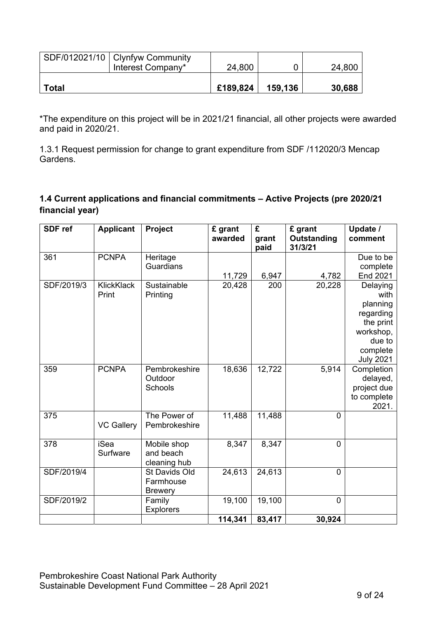|              | SDF/012021/10   Clynfyw Community<br>Interest Company* | 24,800   |         | 24,800 |
|--------------|--------------------------------------------------------|----------|---------|--------|
| <b>Total</b> |                                                        | £189,824 | 159,136 | 30,688 |

\*The expenditure on this project will be in 2021/21 financial, all other projects were awarded and paid in 2020/21.

1.3.1 Request permission for change to grant expenditure from SDF /112020/3 Mencap Gardens.

# **1.4 Current applications and financial commitments – Active Projects (pre 2020/21 financial year)**

| <b>SDF</b> ref | <b>Applicant</b>  | Project          | £ grant<br>awarded | £<br>grant<br>paid | £ grant<br><b>Outstanding</b><br>31/3/21 | Update /<br>comment    |
|----------------|-------------------|------------------|--------------------|--------------------|------------------------------------------|------------------------|
| 361            | <b>PCNPA</b>      | Heritage         |                    |                    |                                          | Due to be              |
|                |                   | Guardians        |                    |                    |                                          | complete               |
|                |                   |                  | 11,729             | 6,947              | 4,782                                    | <b>End 2021</b>        |
| SDF/2019/3     | <b>KlickKlack</b> | Sustainable      | 20,428             | 200                | 20,228                                   | Delaying               |
|                | Print             | Printing         |                    |                    |                                          | with                   |
|                |                   |                  |                    |                    |                                          | planning               |
|                |                   |                  |                    |                    |                                          | regarding              |
|                |                   |                  |                    |                    |                                          | the print<br>workshop, |
|                |                   |                  |                    |                    |                                          | due to                 |
|                |                   |                  |                    |                    |                                          | complete               |
|                |                   |                  |                    |                    |                                          | <b>July 2021</b>       |
| 359            | <b>PCNPA</b>      | Pembrokeshire    | 18,636             | 12,722             | 5,914                                    | Completion             |
|                |                   | Outdoor          |                    |                    |                                          | delayed,               |
|                |                   | Schools          |                    |                    |                                          | project due            |
|                |                   |                  |                    |                    |                                          | to complete            |
|                |                   |                  |                    |                    |                                          | 2021.                  |
| 375            |                   | The Power of     | 11,488             | 11,488             | $\overline{0}$                           |                        |
|                | <b>VC Gallery</b> | Pembrokeshire    |                    |                    |                                          |                        |
| 378            | <b>iSea</b>       | Mobile shop      | 8,347              | 8,347              | $\overline{0}$                           |                        |
|                | Surfware          | and beach        |                    |                    |                                          |                        |
|                |                   | cleaning hub     |                    |                    |                                          |                        |
| SDF/2019/4     |                   | St Davids Old    | 24,613             | 24,613             | $\overline{0}$                           |                        |
|                |                   | Farmhouse        |                    |                    |                                          |                        |
|                |                   | <b>Brewery</b>   |                    |                    |                                          |                        |
| SDF/2019/2     |                   | Family           | 19,100             | 19,100             | $\overline{0}$                           |                        |
|                |                   | <b>Explorers</b> |                    |                    |                                          |                        |
|                |                   |                  | 114,341            | 83,417             | 30,924                                   |                        |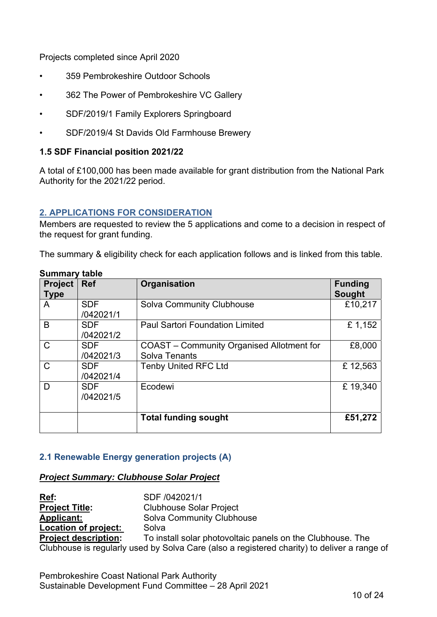Projects completed since April 2020

- 359 Pembrokeshire Outdoor Schools
- 362 The Power of Pembrokeshire VC Gallery
- SDF/2019/1 Family Explorers Springboard
- SDF/2019/4 St Davids Old Farmhouse Brewery

#### **1.5 SDF Financial position 2021/22**

A total of £100,000 has been made available for grant distribution from the National Park Authority for the 2021/22 period.

#### **2. APPLICATIONS FOR CONSIDERATION**

Members are requested to review the 5 applications and come to a decision in respect of the request for grant funding.

The summary & eligibility check for each application follows and is linked from this table.

| <b>Project</b><br><b>Type</b> | <b>Ref</b>              | Organisation                                                             | <b>Funding</b><br><b>Sought</b> |
|-------------------------------|-------------------------|--------------------------------------------------------------------------|---------------------------------|
| A                             | <b>SDF</b><br>/042021/1 | Solva Community Clubhouse                                                | £10,217                         |
| B                             | <b>SDF</b><br>/042021/2 | <b>Paul Sartori Foundation Limited</b>                                   | £1,152                          |
| $\mathsf{C}$                  | <b>SDF</b><br>/042021/3 | <b>COAST</b> – Community Organised Allotment for<br><b>Solva Tenants</b> | £8,000                          |
| $\mathsf{C}$                  | <b>SDF</b><br>/042021/4 | <b>Tenby United RFC Ltd</b>                                              | £12,563                         |
| D                             | <b>SDF</b><br>/042021/5 | Ecodewi                                                                  | £19,340                         |
|                               |                         | <b>Total funding sought</b>                                              | £51,272                         |

#### **Summary table**

#### **2.1 Renewable Energy generation projects (A)**

#### *Project Summary: Clubhouse Solar Project*

**Ref:** SDF /042021/1 **Project Title:** Clubhouse Solar Project **Applicant:** Solva Community Clubhouse **Location of project:** Solva **Project description:** To install solar photovoltaic panels on the Clubhouse. The Clubhouse is regularly used by Solva Care (also a registered charity) to deliver a range of

Pembrokeshire Coast National Park Authority Sustainable Development Fund Committee – 28 April 2021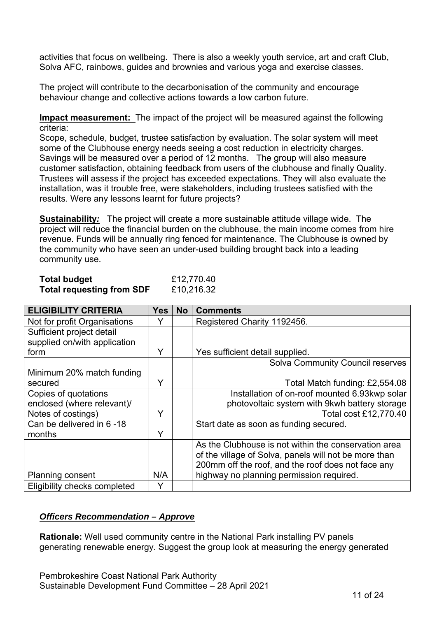activities that focus on wellbeing. There is also a weekly youth service, art and craft Club, Solva AFC, rainbows, guides and brownies and various yoga and exercise classes.

The project will contribute to the decarbonisation of the community and encourage behaviour change and collective actions towards a low carbon future.

**Impact measurement:** The impact of the project will be measured against the following criteria:

Scope, schedule, budget, trustee satisfaction by evaluation. The solar system will meet some of the Clubhouse energy needs seeing a cost reduction in electricity charges. Savings will be measured over a period of 12 months. The group will also measure customer satisfaction, obtaining feedback from users of the clubhouse and finally Quality. Trustees will assess if the project has exceeded expectations. They will also evaluate the installation, was it trouble free, were stakeholders, including trustees satisfied with the results. Were any lessons learnt for future projects?

**Sustainability***:* The project will create a more sustainable attitude village wide. The project will reduce the financial burden on the clubhouse, the main income comes from hire revenue. Funds will be annually ring fenced for maintenance. The Clubhouse is owned by the community who have seen an under-used building brought back into a leading community use.

| <b>Total budget</b>              | £12,770.40 |
|----------------------------------|------------|
| <b>Total requesting from SDF</b> | £10,216.32 |

| <b>ELIGIBILITY CRITERIA</b>  | <b>Yes</b> | <b>No</b> | <b>Comments</b>                                       |
|------------------------------|------------|-----------|-------------------------------------------------------|
| Not for profit Organisations |            |           | Registered Charity 1192456.                           |
| Sufficient project detail    |            |           |                                                       |
| supplied on/with application |            |           |                                                       |
| form                         | Y          |           | Yes sufficient detail supplied.                       |
|                              |            |           | <b>Solva Community Council reserves</b>               |
| Minimum 20% match funding    |            |           |                                                       |
| secured                      | Y          |           | Total Match funding: £2,554.08                        |
| Copies of quotations         |            |           | Installation of on-roof mounted 6.93kwp solar         |
| enclosed (where relevant)/   |            |           | photovoltaic system with 9kwh battery storage         |
| Notes of costings)           | Y          |           | Total cost £12,770.40                                 |
| Can be delivered in 6-18     |            |           | Start date as soon as funding secured.                |
| months                       | Y          |           |                                                       |
|                              |            |           | As the Clubhouse is not within the conservation area  |
|                              |            |           | of the village of Solva, panels will not be more than |
|                              |            |           | 200mm off the roof, and the roof does not face any    |
| <b>Planning consent</b>      | N/A        |           | highway no planning permission required.              |
| Eligibility checks completed | Y          |           |                                                       |

## *Officers Recommendation – Approve*

**Rationale:** Well used community centre in the National Park installing PV panels generating renewable energy. Suggest the group look at measuring the energy generated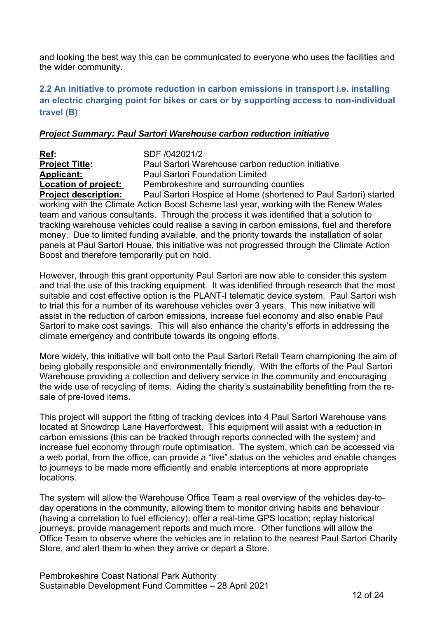<span id="page-5-0"></span>and looking the best way this can be communicated to everyone who uses the facilities and the wider community.

# **2.2 An initiative to promote reduction in carbon emissions in transport i.e. installing an electric charging point for bikes or cars or by supporting access to non-individual travel (B)**

#### *Project Summary: Paul Sartori Warehouse carbon reduction initiative*

**Ref:** SDF /042021/2 **Project Title:** Paul Sartori Warehouse carbon reduction initiative **Applicant:** Paul Sartori Foundation Limited **Location of project:** Pembrokeshire and surrounding counties **Project description:** Paul Sartori Hospice at Home (shortened to Paul Sartori) started working with the Climate Action Boost Scheme last year, working with the Renew Wales team and various consultants. Through the process it was identified that a solution to tracking warehouse vehicles could realise a saving in carbon emissions, fuel and therefore money. Due to limited funding available, and the priority towards the installation of solar panels at Paul Sartori House, this initiative was not progressed through the Climate Action Boost and therefore temporarily put on hold.

However, through this grant opportunity Paul Sartori are now able to consider this system and trial the use of this tracking equipment. It was identified through research that the most suitable and cost effective option is the PLANT-I telematic device system. Paul Sartori wish to trial this for a number of its warehouse vehicles over 3 years. This new initiative will assist in the reduction of carbon emissions, increase fuel economy and also enable Paul Sartori to make cost savings. This will also enhance the charity's efforts in addressing the climate emergency and contribute towards its ongoing efforts.

More widely, this initiative will bolt onto the Paul Sartori Retail Team championing the aim of being globally responsible and environmentally friendly. With the efforts of the Paul Sartori Warehouse providing a collection and delivery service in the community and encouraging the wide use of recycling of items. Aiding the charity's sustainability benefitting from the resale of pre-loved items.

This project will support the fitting of tracking devices into 4 Paul Sartori Warehouse vans located at Snowdrop Lane Haverfordwest. This equipment will assist with a reduction in carbon emissions (this can be tracked through reports connected with the system) and increase fuel economy through route optimisation. The system, which can be accessed via a web portal, from the office, can provide a "live" status on the vehicles and enable changes to journeys to be made more efficiently and enable interceptions at more appropriate locations.

The system will allow the Warehouse Office Team a real overview of the vehicles day-today operations in the community, allowing them to monitor driving habits and behaviour (having a correlation to fuel efficiency); offer a real-time GPS location; replay historical journeys; provide management reports and much more. Other functions will allow the Office Team to observe where the vehicles are in relation to the nearest Paul Sartori Charity Store, and alert them to when they arrive or depart a Store.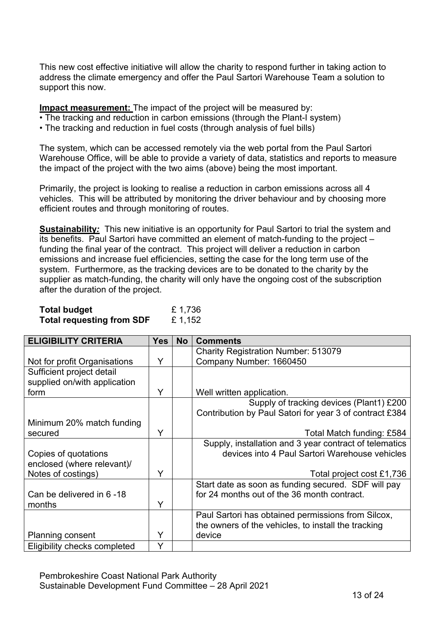This new cost effective initiative will allow the charity to respond further in taking action to address the climate emergency and offer the Paul Sartori Warehouse Team a solution to support this now.

**Impact measurement:** The impact of the project will be measured by:

- The tracking and reduction in carbon emissions (through the Plant-I system)
- The tracking and reduction in fuel costs (through analysis of fuel bills)

The system, which can be accessed remotely via the web portal from the Paul Sartori Warehouse Office, will be able to provide a variety of data, statistics and reports to measure the impact of the project with the two aims (above) being the most important.

Primarily, the project is looking to realise a reduction in carbon emissions across all 4 vehicles. This will be attributed by monitoring the driver behaviour and by choosing more efficient routes and through monitoring of routes.

**Sustainability***:* This new initiative is an opportunity for Paul Sartori to trial the system and its benefits. Paul Sartori have committed an element of match-funding to the project – funding the final year of the contract. This project will deliver a reduction in carbon emissions and increase fuel efficiencies, setting the case for the long term use of the system. Furthermore, as the tracking devices are to be donated to the charity by the supplier as match-funding, the charity will only have the ongoing cost of the subscription after the duration of the project.

| <b>Total budget</b>              | £ 1,736 |
|----------------------------------|---------|
| <b>Total requesting from SDF</b> | £ 1,152 |

| <b>ELIGIBILITY CRITERIA</b>  | <b>Yes</b> | <b>No</b> | <b>Comments</b>                                         |
|------------------------------|------------|-----------|---------------------------------------------------------|
|                              |            |           | <b>Charity Registration Number: 513079</b>              |
| Not for profit Organisations | Y          |           | Company Number: 1660450                                 |
| Sufficient project detail    |            |           |                                                         |
| supplied on/with application |            |           |                                                         |
| form                         | Y          |           | Well written application.                               |
|                              |            |           | Supply of tracking devices (Plant1) £200                |
|                              |            |           | Contribution by Paul Satori for year 3 of contract £384 |
| Minimum 20% match funding    |            |           |                                                         |
| secured                      | Y          |           | Total Match funding: £584                               |
|                              |            |           | Supply, installation and 3 year contract of telematics  |
| Copies of quotations         |            |           | devices into 4 Paul Sartori Warehouse vehicles          |
| enclosed (where relevant)/   |            |           |                                                         |
| Notes of costings)           | Y          |           | Total project cost £1,736                               |
|                              |            |           | Start date as soon as funding secured. SDF will pay     |
| Can be delivered in 6-18     |            |           | for 24 months out of the 36 month contract.             |
| months                       | Y          |           |                                                         |
|                              |            |           | Paul Sartori has obtained permissions from Silcox,      |
|                              |            |           | the owners of the vehicles, to install the tracking     |
| <b>Planning consent</b>      | Y          |           | device                                                  |
| Eligibility checks completed | Y          |           |                                                         |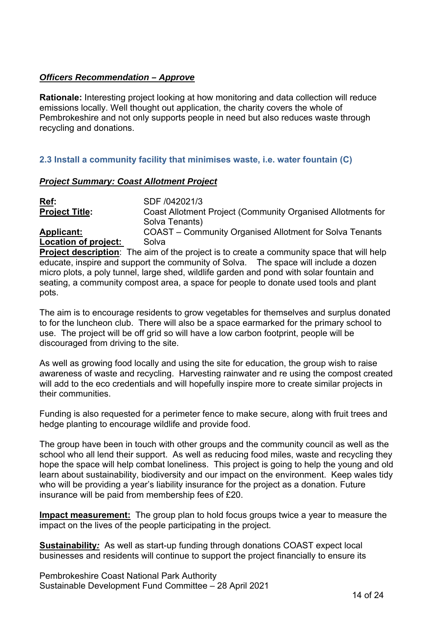## <span id="page-7-0"></span>*Officers Recommendation – Approve*

**Rationale:** Interesting project looking at how monitoring and data collection will reduce emissions locally. Well thought out application, the charity covers the whole of Pembrokeshire and not only supports people in need but also reduces waste through recycling and donations.

## **2.3 Install a community facility that minimises waste, i.e. water fountain (C)**

#### *Project Summary: Coast Allotment Project*

**Ref:** SDF /042021/3 **Project Title:** Coast Allotment Project (Community Organised Allotments for Solva Tenants) **Applicant:** COAST – Community Organised Allotment for Solva Tenants

**Location of project:** Solva

**Project description**: The aim of the project is to create a community space that will help educate, inspire and support the community of Solva. The space will include a dozen micro plots, a poly tunnel, large shed, wildlife garden and pond with solar fountain and seating, a community compost area, a space for people to donate used tools and plant pots.

The aim is to encourage residents to grow vegetables for themselves and surplus donated to for the luncheon club. There will also be a space earmarked for the primary school to use. The project will be off grid so will have a low carbon footprint, people will be discouraged from driving to the site.

As well as growing food locally and using the site for education, the group wish to raise awareness of waste and recycling. Harvesting rainwater and re using the compost created will add to the eco credentials and will hopefully inspire more to create similar projects in their communities.

Funding is also requested for a perimeter fence to make secure, along with fruit trees and hedge planting to encourage wildlife and provide food.

The group have been in touch with other groups and the community council as well as the school who all lend their support. As well as reducing food miles, waste and recycling they hope the space will help combat loneliness. This project is going to help the young and old learn about sustainability, biodiversity and our impact on the environment. Keep wales tidy who will be providing a year's liability insurance for the project as a donation. Future insurance will be paid from membership fees of £20.

**Impact measurement:** The group plan to hold focus groups twice a year to measure the impact on the lives of the people participating in the project.

**Sustainability***:* As well as start-up funding through donations COAST expect local businesses and residents will continue to support the project financially to ensure its

Pembrokeshire Coast National Park Authority Sustainable Development Fund Committee – 28 April 2021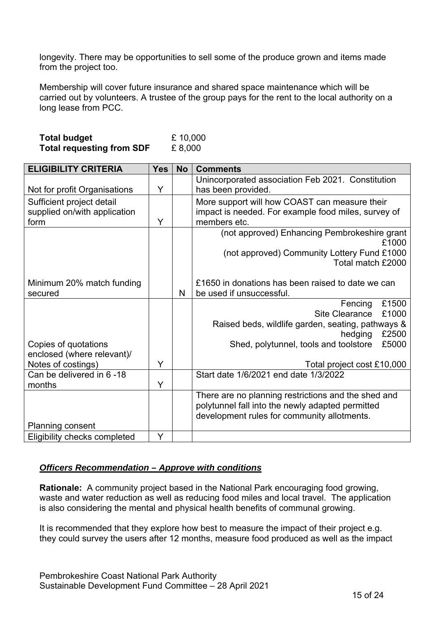longevity. There may be opportunities to sell some of the produce grown and items made from the project too.

Membership will cover future insurance and shared space maintenance which will be carried out by volunteers. A trustee of the group pays for the rent to the local authority on a long lease from PCC.

| <b>Total budget</b>              | £ 10,000 |
|----------------------------------|----------|
| <b>Total requesting from SDF</b> | £8,000   |

| <b>ELIGIBILITY CRITERIA</b>                     | <b>Yes</b> | <b>No</b> | <b>Comments</b>                                                                                         |
|-------------------------------------------------|------------|-----------|---------------------------------------------------------------------------------------------------------|
|                                                 |            |           | Unincorporated association Feb 2021. Constitution                                                       |
| Not for profit Organisations                    | Y          |           | has been provided.                                                                                      |
| Sufficient project detail                       |            |           | More support will how COAST can measure their                                                           |
| supplied on/with application                    |            |           | impact is needed. For example food miles, survey of                                                     |
| form                                            | Y          |           | members etc.                                                                                            |
|                                                 |            |           | (not approved) Enhancing Pembrokeshire grant                                                            |
|                                                 |            |           | £1000                                                                                                   |
|                                                 |            |           | (not approved) Community Lottery Fund £1000                                                             |
|                                                 |            |           | Total match £2000                                                                                       |
|                                                 |            |           |                                                                                                         |
| Minimum 20% match funding                       |            |           | £1650 in donations has been raised to date we can                                                       |
| secured                                         |            | N         | be used if unsuccessful.                                                                                |
|                                                 |            |           | £1500<br>Fencing                                                                                        |
|                                                 |            |           | <b>Site Clearance</b><br>£1000                                                                          |
|                                                 |            |           | Raised beds, wildlife garden, seating, pathways &                                                       |
|                                                 |            |           | £2500<br>hedging                                                                                        |
| Copies of quotations                            |            |           | £5000<br>Shed, polytunnel, tools and toolstore                                                          |
| enclosed (where relevant)/                      | Y          |           |                                                                                                         |
| Notes of costings)<br>Can be delivered in 6 -18 |            |           | Total project cost £10,000<br>Start date 1/6/2021 end date 1/3/2022                                     |
| months                                          | Y          |           |                                                                                                         |
|                                                 |            |           |                                                                                                         |
|                                                 |            |           | There are no planning restrictions and the shed and<br>polytunnel fall into the newly adapted permitted |
|                                                 |            |           | development rules for community allotments.                                                             |
| Planning consent                                |            |           |                                                                                                         |
|                                                 | Y          |           |                                                                                                         |
| Eligibility checks completed                    |            |           |                                                                                                         |

#### *Officers Recommendation – Approve with conditions*

**Rationale:** A community project based in the National Park encouraging food growing, waste and water reduction as well as reducing food miles and local travel. The application is also considering the mental and physical health benefits of communal growing.

It is recommended that they explore how best to measure the impact of their project e.g. they could survey the users after 12 months, measure food produced as well as the impact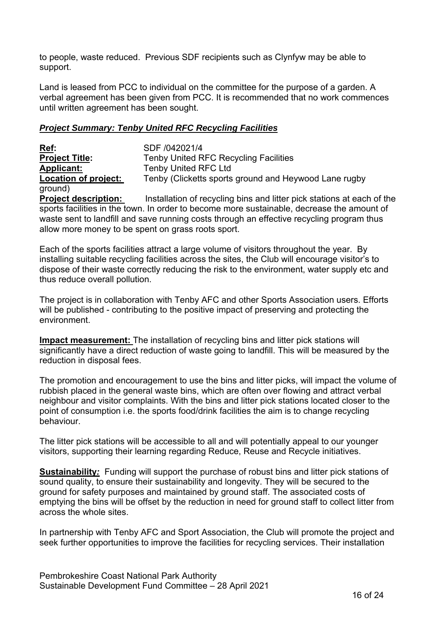<span id="page-9-0"></span>to people, waste reduced. Previous SDF recipients such as Clynfyw may be able to support.

Land is leased from PCC to individual on the committee for the purpose of a garden. A verbal agreement has been given from PCC. It is recommended that no work commences until written agreement has been sought.

#### *Project Summary: Tenby United RFC Recycling Facilities*

**Ref:** SDF /042021/4 **Project Title:** Tenby United RFC Recycling Facilities **Applicant:** Tenby United RFC Ltd **Location of project:** Tenby (Clicketts sports ground and Heywood Lane rugby ground) **Project description:** Installation of recycling bins and litter pick stations at each of the

sports facilities in the town. In order to become more sustainable, decrease the amount of waste sent to landfill and save running costs through an effective recycling program thus allow more money to be spent on grass roots sport.

Each of the sports facilities attract a large volume of visitors throughout the year. By installing suitable recycling facilities across the sites, the Club will encourage visitor's to dispose of their waste correctly reducing the risk to the environment, water supply etc and thus reduce overall pollution.

The project is in collaboration with Tenby AFC and other Sports Association users. Efforts will be published - contributing to the positive impact of preserving and protecting the environment.

**Impact measurement:** The installation of recycling bins and litter pick stations will significantly have a direct reduction of waste going to landfill. This will be measured by the reduction in disposal fees.

The promotion and encouragement to use the bins and litter picks, will impact the volume of rubbish placed in the general waste bins, which are often over flowing and attract verbal neighbour and visitor complaints. With the bins and litter pick stations located closer to the point of consumption i.e. the sports food/drink facilities the aim is to change recycling behaviour.

The litter pick stations will be accessible to all and will potentially appeal to our younger visitors, supporting their learning regarding Reduce, Reuse and Recycle initiatives.

**Sustainability***:* Funding will support the purchase of robust bins and litter pick stations of sound quality, to ensure their sustainability and longevity. They will be secured to the ground for safety purposes and maintained by ground staff. The associated costs of emptying the bins will be offset by the reduction in need for ground staff to collect litter from across the whole sites.

In partnership with Tenby AFC and Sport Association, the Club will promote the project and seek further opportunities to improve the facilities for recycling services. Their installation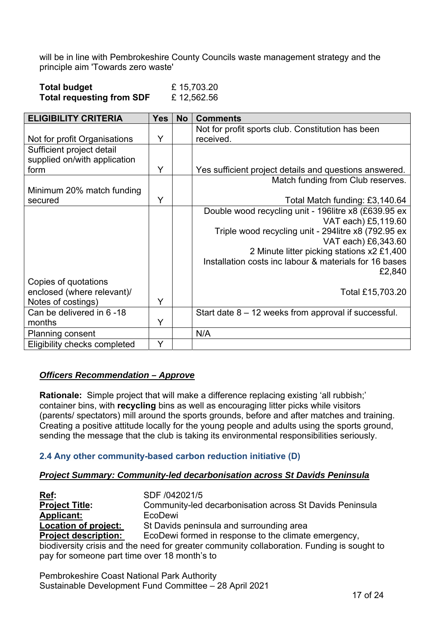<span id="page-10-0"></span>will be in line with Pembrokeshire County Councils waste management strategy and the principle aim 'Towards zero waste'

| <b>Total budget</b>              | £15,703.20 |
|----------------------------------|------------|
| <b>Total requesting from SDF</b> | £12,562.56 |

| <b>ELIGIBILITY CRITERIA</b>  | <b>Yes</b> | <b>No</b> | <b>Comments</b>                                        |
|------------------------------|------------|-----------|--------------------------------------------------------|
|                              |            |           | Not for profit sports club. Constitution has been      |
| Not for profit Organisations | Y          |           | received.                                              |
| Sufficient project detail    |            |           |                                                        |
| supplied on/with application |            |           |                                                        |
| form                         | Y          |           | Yes sufficient project details and questions answered. |
|                              |            |           | Match funding from Club reserves.                      |
| Minimum 20% match funding    |            |           |                                                        |
| secured                      | Y          |           | Total Match funding: £3,140.64                         |
|                              |            |           | Double wood recycling unit - 196litre x8 (£639.95 ex   |
|                              |            |           | VAT each) £5,119.60                                    |
|                              |            |           | Triple wood recycling unit - 294 litre x8 (792.95 ex   |
|                              |            |           | VAT each) £6,343.60                                    |
|                              |            |           | 2 Minute litter picking stations x2 £1,400             |
|                              |            |           | Installation costs inc labour & materials for 16 bases |
|                              |            |           | £2,840                                                 |
| Copies of quotations         |            |           |                                                        |
| enclosed (where relevant)/   |            |           | Total £15,703.20                                       |
| Notes of costings)           | Y          |           |                                                        |
| Can be delivered in 6-18     |            |           | Start date $8 - 12$ weeks from approval if successful. |
| months                       | Y          |           |                                                        |
| <b>Planning consent</b>      |            |           | N/A                                                    |
| Eligibility checks completed | Y          |           |                                                        |

#### *Officers Recommendation – Approve*

**Rationale:** Simple project that will make a difference replacing existing 'all rubbish;' container bins, with **recycling** bins as well as encouraging litter picks while visitors (parents/ spectators) mill around the sports grounds, before and after matches and training. Creating a positive attitude locally for the young people and adults using the sports ground, sending the message that the club is taking its environmental responsibilities seriously.

## **2.4 Any other community-based carbon reduction initiative (D)**

#### *Project Summary: Community-led decarbonisation across St Davids Peninsula*

**Ref:** SDF /042021/5 **Project Title:** Community-led decarbonisation across St Davids Peninsula Applicant: EcoDewi **Location of project:** St Davids peninsula and surrounding area **Project description:** EcoDewi formed in response to the climate emergency, biodiversity crisis and the need for greater community collaboration. Funding is sought to pay for someone part time over 18 month's to

Pembrokeshire Coast National Park Authority Sustainable Development Fund Committee – 28 April 2021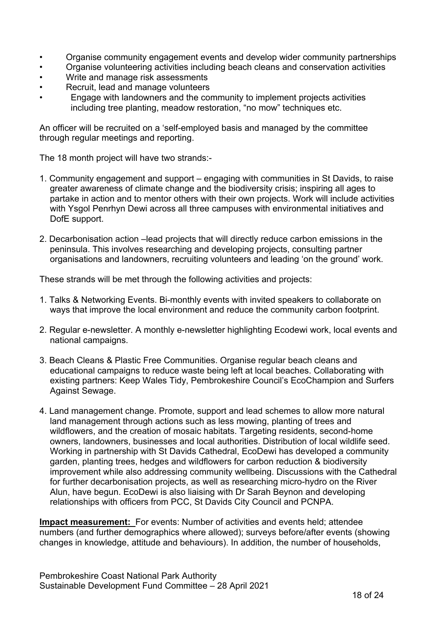- Organise community engagement events and develop wider community partnerships
- Organise volunteering activities including beach cleans and conservation activities
- Write and manage risk assessments
- Recruit, lead and manage volunteers
- Engage with landowners and the community to implement projects activities including tree planting, meadow restoration, "no mow" techniques etc.

An officer will be recruited on a 'self-employed basis and managed by the committee through regular meetings and reporting.

The 18 month project will have two strands:-

- 1. Community engagement and support engaging with communities in St Davids, to raise greater awareness of climate change and the biodiversity crisis; inspiring all ages to partake in action and to mentor others with their own projects. Work will include activities with Ysgol Penrhyn Dewi across all three campuses with environmental initiatives and DofE support.
- 2. Decarbonisation action –lead projects that will directly reduce carbon emissions in the peninsula. This involves researching and developing projects, consulting partner organisations and landowners, recruiting volunteers and leading 'on the ground' work.

These strands will be met through the following activities and projects:

- 1. Talks & Networking Events. Bi-monthly events with invited speakers to collaborate on ways that improve the local environment and reduce the community carbon footprint.
- 2. Regular e-newsletter. A monthly e-newsletter highlighting Ecodewi work, local events and national campaigns.
- 3. Beach Cleans & Plastic Free Communities. Organise regular beach cleans and educational campaigns to reduce waste being left at local beaches. Collaborating with existing partners: Keep Wales Tidy, Pembrokeshire Council's EcoChampion and Surfers Against Sewage.
- 4. Land management change. Promote, support and lead schemes to allow more natural land management through actions such as less mowing, planting of trees and wildflowers, and the creation of mosaic habitats. Targeting residents, second-home owners, landowners, businesses and local authorities. Distribution of local wildlife seed. Working in partnership with St Davids Cathedral, EcoDewi has developed a community garden, planting trees, hedges and wildflowers for carbon reduction & biodiversity improvement while also addressing community wellbeing. Discussions with the Cathedral for further decarbonisation projects, as well as researching micro-hydro on the River Alun, have begun. EcoDewi is also liaising with Dr Sarah Beynon and developing relationships with officers from PCC, St Davids City Council and PCNPA.

**Impact measurement:** For events: Number of activities and events held; attendee numbers (and further demographics where allowed); surveys before/after events (showing changes in knowledge, attitude and behaviours). In addition, the number of households,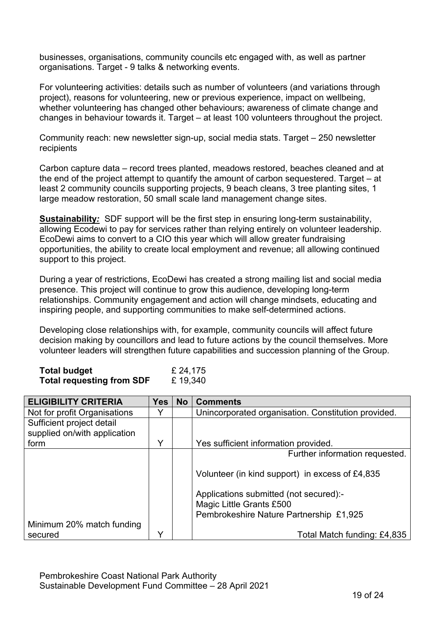businesses, organisations, community councils etc engaged with, as well as partner organisations. Target - 9 talks & networking events.

For volunteering activities: details such as number of volunteers (and variations through project), reasons for volunteering, new or previous experience, impact on wellbeing, whether volunteering has changed other behaviours; awareness of climate change and changes in behaviour towards it. Target – at least 100 volunteers throughout the project.

Community reach: new newsletter sign-up, social media stats. Target – 250 newsletter recipients

Carbon capture data – record trees planted, meadows restored, beaches cleaned and at the end of the project attempt to quantify the amount of carbon sequestered. Target – at least 2 community councils supporting projects, 9 beach cleans, 3 tree planting sites, 1 large meadow restoration, 50 small scale land management change sites.

**Sustainability***:* SDF support will be the first step in ensuring long-term sustainability, allowing Ecodewi to pay for services rather than relying entirely on volunteer leadership. EcoDewi aims to convert to a CIO this year which will allow greater fundraising opportunities, the ability to create local employment and revenue; all allowing continued support to this project.

During a year of restrictions, EcoDewi has created a strong mailing list and social media presence. This project will continue to grow this audience, developing long-term relationships. Community engagement and action will change mindsets, educating and inspiring people, and supporting communities to make self-determined actions.

Developing close relationships with, for example, community councils will affect future decision making by councillors and lead to future actions by the council themselves. More volunteer leaders will strengthen future capabilities and succession planning of the Group.

| <b>Total budget</b>              | £ 24,175 |
|----------------------------------|----------|
| <b>Total requesting from SDF</b> | £19,340  |

| <b>ELIGIBILITY CRITERIA</b>  | <b>Yes</b>   | <b>No</b> | <b>Comments</b>                                     |
|------------------------------|--------------|-----------|-----------------------------------------------------|
| Not for profit Organisations | V            |           | Unincorporated organisation. Constitution provided. |
| Sufficient project detail    |              |           |                                                     |
| supplied on/with application |              |           |                                                     |
| form                         | Υ            |           | Yes sufficient information provided.                |
|                              |              |           | Further information requested.                      |
|                              |              |           |                                                     |
|                              |              |           | Volunteer (in kind support) in excess of £4,835     |
|                              |              |           |                                                     |
|                              |              |           | Applications submitted (not secured):-              |
|                              |              |           | Magic Little Grants £500                            |
|                              |              |           | Pembrokeshire Nature Partnership £1,925             |
| Minimum 20% match funding    |              |           |                                                     |
| secured                      | $\checkmark$ |           | Total Match funding: £4,835                         |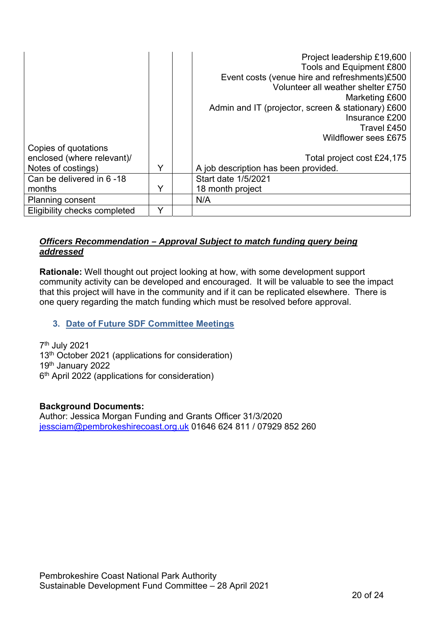|                              |   | Project leadership £19,600                         |
|------------------------------|---|----------------------------------------------------|
|                              |   | Tools and Equipment £800                           |
|                              |   | Event costs (venue hire and refreshments)£500      |
|                              |   | Volunteer all weather shelter £750                 |
|                              |   | Marketing £600                                     |
|                              |   | Admin and IT (projector, screen & stationary) £600 |
|                              |   | Insurance £200                                     |
|                              |   | Travel £450                                        |
|                              |   | <b>Wildflower sees £675</b>                        |
| Copies of quotations         |   |                                                    |
| enclosed (where relevant)/   |   | Total project cost £24,175                         |
| Notes of costings)           | v | A job description has been provided.               |
| Can be delivered in 6-18     |   | Start date 1/5/2021                                |
| months                       | Y | 18 month project                                   |
| <b>Planning consent</b>      |   | N/A                                                |
| Eligibility checks completed |   |                                                    |

# *Officers Recommendation – Approval Subject to match funding query being addressed*

**Rationale:** Well thought out project looking at how, with some development support community activity can be developed and encouraged. It will be valuable to see the impact that this project will have in the community and if it can be replicated elsewhere. There is one query regarding the match funding which must be resolved before approval.

# **3. Date of Future SDF Committee Meetings**

7th July 2021 13<sup>th</sup> October 2021 (applications for consideration) 19th January 2022 6th April 2022 (applications for consideration)

#### **Background Documents:**

Author: Jessica Morgan Funding and Grants Officer 31/3/2020 iessciam@pembrokeshirecoast.org.uk 01646 624 811 / 07929 852 260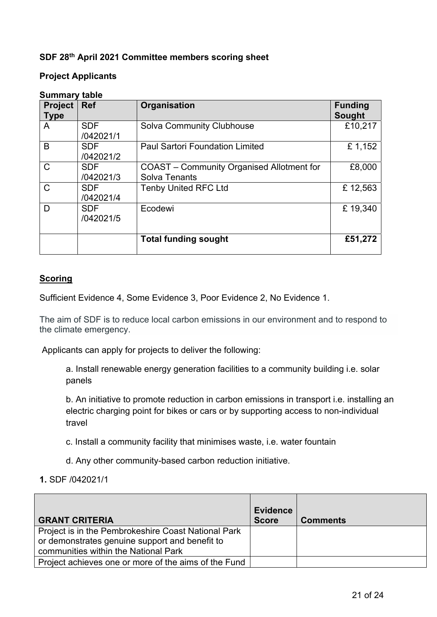## **SDF 28th April 2021 Committee members scoring sheet**

#### **Project Applicants**

| <b>Project</b><br><b>Type</b> | <b>Ref</b>              | Organisation                                                      | <b>Funding</b><br><b>Sought</b> |
|-------------------------------|-------------------------|-------------------------------------------------------------------|---------------------------------|
| A                             | <b>SDF</b><br>/042021/1 | <b>Solva Community Clubhouse</b>                                  | £10,217                         |
| B                             | <b>SDF</b><br>/042021/2 | <b>Paul Sartori Foundation Limited</b>                            | £1,152                          |
| $\mathsf{C}$                  | <b>SDF</b><br>/042021/3 | COAST – Community Organised Allotment for<br><b>Solva Tenants</b> | £8,000                          |
| $\mathsf{C}$                  | <b>SDF</b><br>/042021/4 | <b>Tenby United RFC Ltd</b>                                       | £12,563                         |
| D                             | <b>SDF</b><br>/042021/5 | Ecodewi                                                           | £19,340                         |
|                               |                         | <b>Total funding sought</b>                                       | £51,272                         |

#### **Summary table**

#### **Scoring**

Sufficient Evidence 4, Some Evidence 3, Poor Evidence 2, No Evidence 1.

The aim of SDF is to reduce local carbon emissions in our environment and to respond to the climate emergency.

Applicants can apply for projects to deliver the following:

a. Install renewable energy generation facilities to a community building i.e. solar panels

b. An initiative to promote reduction in carbon emissions in transport i.e. installing an electric charging point for bikes or cars or by supporting access to non-individual travel

- c. Install a community facility that minimises waste, i.e. water fountain
- d. Any other community-based carbon reduction initiative.
- **1.** SDF /042021/1

| <b>GRANT CRITERIA</b>                                                                                                                         | <b>Evidence</b><br><b>Score</b> | <b>Comments</b> |
|-----------------------------------------------------------------------------------------------------------------------------------------------|---------------------------------|-----------------|
| Project is in the Pembrokeshire Coast National Park<br>or demonstrates genuine support and benefit to<br>communities within the National Park |                                 |                 |
| Project achieves one or more of the aims of the Fund                                                                                          |                                 |                 |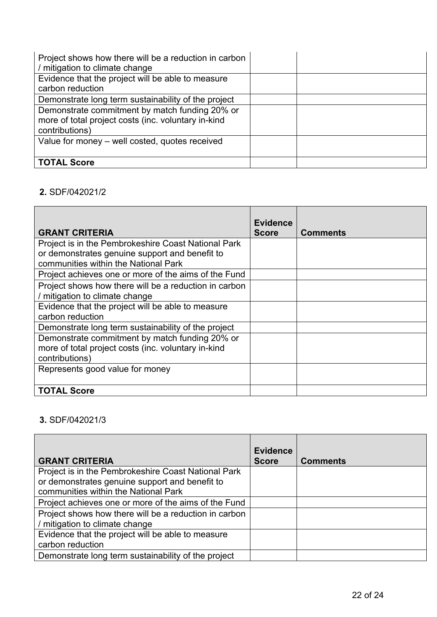| Project shows how there will be a reduction in carbon<br>/ mitigation to climate change                                 |  |
|-------------------------------------------------------------------------------------------------------------------------|--|
| Evidence that the project will be able to measure<br>carbon reduction                                                   |  |
| Demonstrate long term sustainability of the project                                                                     |  |
| Demonstrate commitment by match funding 20% or<br>more of total project costs (inc. voluntary in-kind<br>contributions) |  |
| Value for money - well costed, quotes received                                                                          |  |
| <b>TOTAL Score</b>                                                                                                      |  |

# **2.** SDF/042021/2

| <b>GRANT CRITERIA</b>                                                                                                                         | <b>Evidence</b><br><b>Score</b> | <b>Comments</b> |
|-----------------------------------------------------------------------------------------------------------------------------------------------|---------------------------------|-----------------|
| Project is in the Pembrokeshire Coast National Park<br>or demonstrates genuine support and benefit to<br>communities within the National Park |                                 |                 |
| Project achieves one or more of the aims of the Fund                                                                                          |                                 |                 |
| Project shows how there will be a reduction in carbon<br>/ mitigation to climate change                                                       |                                 |                 |
| Evidence that the project will be able to measure<br>carbon reduction                                                                         |                                 |                 |
| Demonstrate long term sustainability of the project                                                                                           |                                 |                 |
| Demonstrate commitment by match funding 20% or<br>more of total project costs (inc. voluntary in-kind<br>contributions)                       |                                 |                 |
| Represents good value for money                                                                                                               |                                 |                 |
| <b>TOTAL Score</b>                                                                                                                            |                                 |                 |

# **3.** SDF/042021/3

|                                                       | <b>Evidence</b> |                 |
|-------------------------------------------------------|-----------------|-----------------|
| <b>GRANT CRITERIA</b>                                 | <b>Score</b>    | <b>Comments</b> |
| Project is in the Pembrokeshire Coast National Park   |                 |                 |
| or demonstrates genuine support and benefit to        |                 |                 |
| communities within the National Park                  |                 |                 |
| Project achieves one or more of the aims of the Fund  |                 |                 |
| Project shows how there will be a reduction in carbon |                 |                 |
| / mitigation to climate change                        |                 |                 |
| Evidence that the project will be able to measure     |                 |                 |
| carbon reduction                                      |                 |                 |
| Demonstrate long term sustainability of the project   |                 |                 |